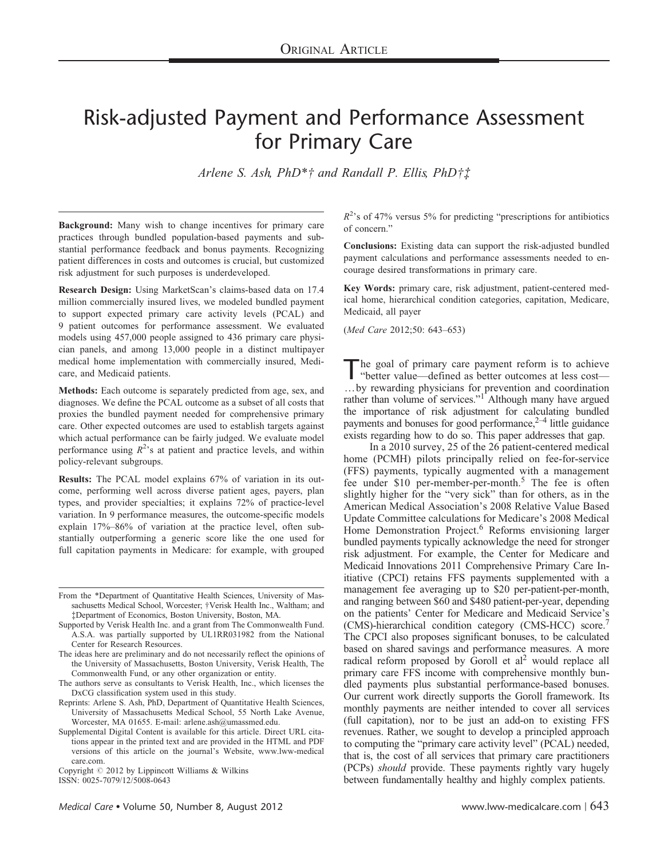# Risk-adjusted Payment and Performance Assessment for Primary Care

*Arlene S. Ash, PhD\*† and Randall P. Ellis, PhD†‡* 

**Background:** Many wish to change incentives for primary care practices through bundled population-based payments and substantial performance feedback and bonus payments. Recognizing patient differences in costs and outcomes is crucial, but customized risk adjustment for such purposes is underdeveloped.

**Research Design:** Using MarketScan's claims-based data on 17.4 million commercially insured lives, we modeled bundled payment to support expected primary care activity levels (PCAL) and 9 patient outcomes for performance assessment. We evaluated models using 457,000 people assigned to 436 primary care physician panels, and among 13,000 people in a distinct multipayer medical home implementation with commercially insured, Medicare, and Medicaid patients.

**Methods:** Each outcome is separately predicted from age, sex, and diagnoses. We define the PCAL outcome as a subset of all costs that proxies the bundled payment needed for comprehensive primary care. Other expected outcomes are used to establish targets against which actual performance can be fairly judged. We evaluate model performance using  $R^2$ 's at patient and practice levels, and within policy-relevant subgroups.

**Results:** The PCAL model explains 67% of variation in its outcome, performing well across diverse patient ages, payers, plan types, and provider specialties; it explains 72% of practice-level variation. In 9 performance measures, the outcome-specific models explain 17%–86% of variation at the practice level, often substantially outperforming a generic score like the one used for full capitation payments in Medicare: for example, with grouped

- The ideas here are preliminary and do not necessarily reflect the opinions of the University of Massachusetts, Boston University, Verisk Health, The Commonwealth Fund, or any other organization or entity.
- The authors serve as consultants to Verisk Health, Inc., which licenses the DxCG classification system used in this study.
- Reprints: Arlene S. Ash, PhD, Department of Quantitative Health Sciences, University of Massachusetts Medical School, 55 North Lake Avenue, Worcester, MA 01655. E-mail: arlene.ash@umassmed.edu.
- Supplemental Digital Content is available for this article. Direct URL citations appear in the printed text and are provided in the HTML and PDF versions of this article on the journal's Website, www.lww-medical care.com.

Copyright  $\odot$  2012 by Lippincott Williams & Wilkins

ISSN: 0025-7079/12/5008-0643

*R*2 's of 47% versus 5% for predicting "prescriptions for antibiotics of concern."

**Conclusions:** Existing data can support the risk-adjusted bundled payment calculations and performance assessments needed to encourage desired transformations in primary care.

**Key Words:** primary care, risk adjustment, patient-centered medical home, hierarchical condition categories, capitation, Medicare, Medicaid, all payer

(*Med Care* 2012;50: 643–653)

The goal of primary care payment reform is to achieve<br>"better value—defined as better outcomes at less cost— ...by rewarding physicians for prevention and coordination rather than volume of services."<sup>1</sup> Although many have argued the importance of risk adjustment for calculating bundled payments and bonuses for good performance, $2-4$  little guidance exists regarding how to do so. This paper addresses that gap.

In a 2010 survey, 25 of the 26 patient-centered medical home (PCMH) pilots principally relied on fee-for-service (FFS) payments, typically augmented with a management fee under \$10 per-member-per-month.<sup>5</sup> The fee is often slightly higher for the "very sick" than for others, as in the American Medical Association's 2008 Relative Value Based Update Committee calculations for Medicare's 2008 Medical Home Demonstration Project.<sup>6</sup> Reforms envisioning larger bundled payments typically acknowledge the need for stronger risk adjustment. For example, the Center for Medicare and Medicaid Innovations 2011 Comprehensive Primary Care Initiative (CPCI) retains FFS payments supplemented with a management fee averaging up to \$20 per-patient-per-month, and ranging between \$60 and \$480 patient-per-year, depending on the patients' Center for Medicare and Medicaid Service's (CMS)-hierarchical condition category (CMS-HCC) score.7 The CPCI also proposes significant bonuses, to be calculated based on shared savings and performance measures. A more radical reform proposed by Goroll et  $al<sup>2</sup>$  would replace all primary care FFS income with comprehensive monthly bundled payments plus substantial performance-based bonuses. Our current work directly supports the Goroll framework. Its monthly payments are neither intended to cover all services (full capitation), nor to be just an add-on to existing FFS revenues. Rather, we sought to develop a principled approach to computing the "primary care activity level" (PCAL) needed, that is, the cost of all services that primary care practitioners (PCPs) *should* provide. These payments rightly vary hugely between fundamentally healthy and highly complex patients.

From the \*Department of Quantitative Health Sciences, University of Massachusetts Medical School, Worcester; †Verisk Health Inc., Waltham; and zDepartment of Economics, Boston University, Boston, MA.

Supported by Verisk Health Inc. and a grant from The Commonwealth Fund. A.S.A. was partially supported by UL1RR031982 from the National Center for Research Resources.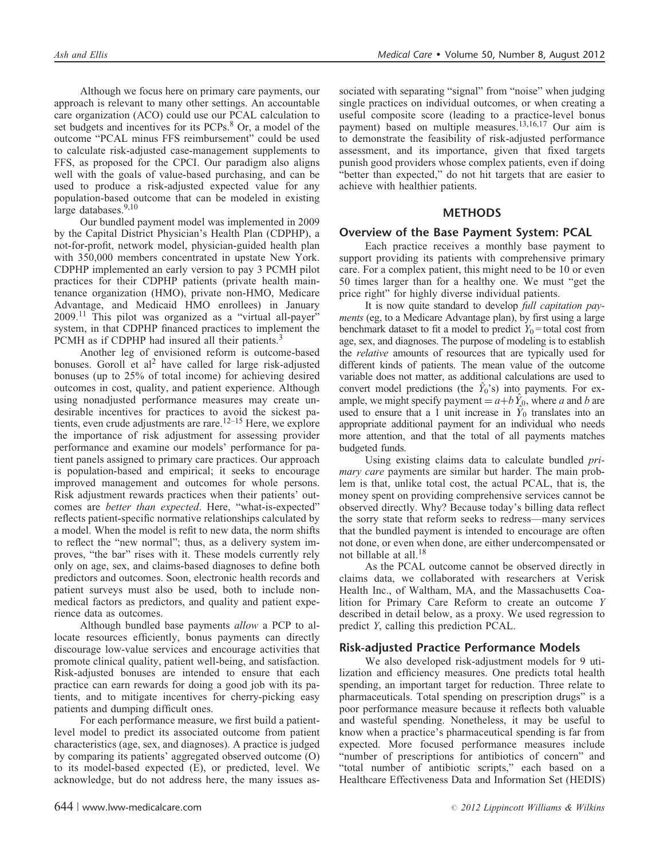Although we focus here on primary care payments, our approach is relevant to many other settings. An accountable care organization (ACO) could use our PCAL calculation to set budgets and incentives for its PCPs.<sup>8</sup> Or, a model of the outcome "PCAL minus FFS reimbursement" could be used to calculate risk-adjusted case-management supplements to FFS, as proposed for the CPCI. Our paradigm also aligns well with the goals of value-based purchasing, and can be used to produce a risk-adjusted expected value for any population-based outcome that can be modeled in existing large databases.<sup>9,10</sup>

Our bundled payment model was implemented in 2009 by the Capital District Physician's Health Plan (CDPHP), a not-for-profit, network model, physician-guided health plan with 350,000 members concentrated in upstate New York. CDPHP implemented an early version to pay 3 PCMH pilot practices for their CDPHP patients (private health maintenance organization (HMO), private non-HMO, Medicare Advantage, and Medicaid HMO enrollees) in January  $2009$ <sup>11</sup>. This pilot was organized as a "virtual all-payer" system, in that CDPHP financed practices to implement the PCMH as if CDPHP had insured all their patients.<sup>3</sup>

Another leg of envisioned reform is outcome-based bonuses. Goroll et  $al^2$  have called for large risk-adjusted bonuses (up to 25% of total income) for achieving desired outcomes in cost, quality, and patient experience. Although using nonadjusted performance measures may create undesirable incentives for practices to avoid the sickest patients, even crude adjustments are rare.<sup>12–15</sup> Here, we explore the importance of risk adjustment for assessing provider performance and examine our models' performance for patient panels assigned to primary care practices. Our approach is population-based and empirical; it seeks to encourage improved management and outcomes for whole persons. Risk adjustment rewards practices when their patients' outcomes are *better than expected*. Here, "what-is-expected" reflects patient-specific normative relationships calculated by a model. When the model is refit to new data, the norm shifts to reflect the "new normal"; thus, as a delivery system improves, "the bar" rises with it. These models currently rely only on age, sex, and claims-based diagnoses to define both predictors and outcomes. Soon, electronic health records and patient surveys must also be used, both to include nonmedical factors as predictors, and quality and patient experience data as outcomes.

Although bundled base payments *allow* a PCP to allocate resources efficiently, bonus payments can directly discourage low-value services and encourage activities that promote clinical quality, patient well-being, and satisfaction. Risk-adjusted bonuses are intended to ensure that each practice can earn rewards for doing a good job with its patients, and to mitigate incentives for cherry-picking easy patients and dumping difficult ones.

For each performance measure, we first build a patientlevel model to predict its associated outcome from patient characteristics (age, sex, and diagnoses). A practice is judged by comparing its patients' aggregated observed outcome (O) to its model-based expected (E), or predicted, level. We acknowledge, but do not address here, the many issues associated with separating "signal" from "noise" when judging single practices on individual outcomes, or when creating a useful composite score (leading to a practice-level bonus payment) based on multiple measures.13,16,17 Our aim is to demonstrate the feasibility of risk-adjusted performance assessment, and its importance, given that fixed targets punish good providers whose complex patients, even if doing "better than expected," do not hit targets that are easier to achieve with healthier patients.

# **METHODS**

## Overview of the Base Payment System: PCAL

Each practice receives a monthly base payment to support providing its patients with comprehensive primary care. For a complex patient, this might need to be 10 or even 50 times larger than for a healthy one. We must "get the price right" for highly diverse individual patients.

It is now quite standard to develop *full capitation payments* (eg, to a Medicare Advantage plan), by first using a large benchmark dataset to fit a model to predict  $Y_0$  = total cost from age, sex, and diagnoses. The purpose of modeling is to establish the *relative* amounts of resources that are typically used for different kinds of patients. The mean value of the outcome variable does not matter, as additional calculations are used to convert model predictions (the  $\hat{Y}_0$ 's) into payments. For example, we might specify payment  $= a+b\hat{Y}_0$ , where *a* and *b* are used to ensure that a 1 unit increase in  $\hat{Y}_0$  translates into an appropriate additional payment for an individual who needs more attention, and that the total of all payments matches budgeted funds.

Using existing claims data to calculate bundled *primary care* payments are similar but harder. The main problem is that, unlike total cost, the actual PCAL, that is, the money spent on providing comprehensive services cannot be observed directly. Why? Because today's billing data reflect the sorry state that reform seeks to redress—many services that the bundled payment is intended to encourage are often not done, or even when done, are either undercompensated or not billable at all.<sup>18</sup>

As the PCAL outcome cannot be observed directly in claims data, we collaborated with researchers at Verisk Health Inc., of Waltham, MA, and the Massachusetts Coalition for Primary Care Reform to create an outcome *Y* described in detail below, as a proxy. We used regression to predict *Y*, calling this prediction PCAL.

# Risk-adjusted Practice Performance Models

We also developed risk-adjustment models for 9 utilization and efficiency measures. One predicts total health spending, an important target for reduction. Three relate to pharmaceuticals. Total spending on prescription drugs" is a poor performance measure because it reflects both valuable and wasteful spending. Nonetheless, it may be useful to know when a practice's pharmaceutical spending is far from expected. More focused performance measures include "number of prescriptions for antibiotics of concern" and "total number of antibiotic scripts," each based on a Healthcare Effectiveness Data and Information Set (HEDIS)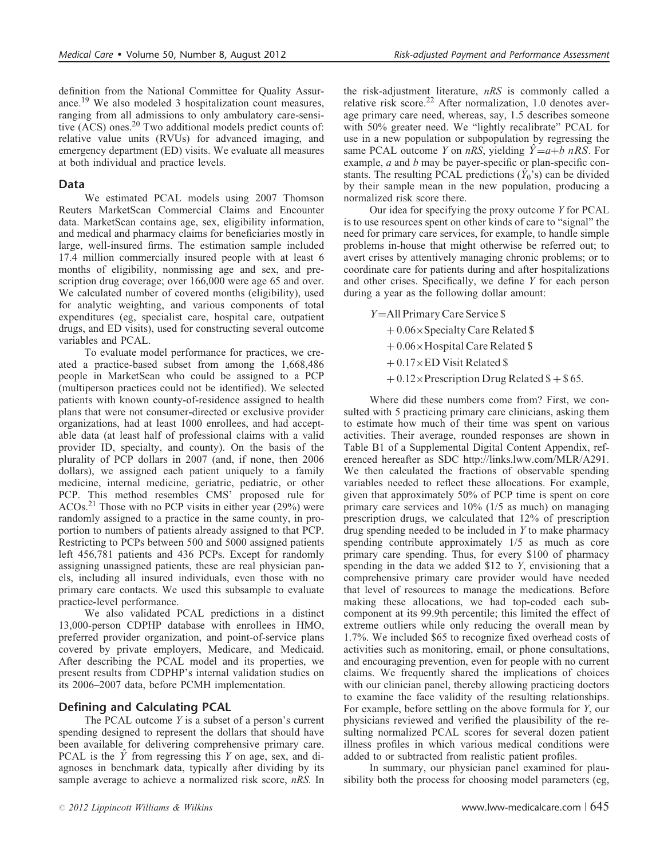definition from the National Committee for Quality Assurance.<sup>19</sup> We also modeled 3 hospitalization count measures, ranging from all admissions to only ambulatory care-sensitive (ACS) ones.<sup>20</sup> Two additional models predict counts of: relative value units (RVUs) for advanced imaging, and emergency department (ED) visits. We evaluate all measures at both individual and practice levels.

#### Data

We estimated PCAL models using 2007 Thomson Reuters MarketScan Commercial Claims and Encounter data. MarketScan contains age, sex, eligibility information, and medical and pharmacy claims for beneficiaries mostly in large, well-insured firms. The estimation sample included 17.4 million commercially insured people with at least 6 months of eligibility, nonmissing age and sex, and prescription drug coverage; over 166,000 were age 65 and over. We calculated number of covered months (eligibility), used for analytic weighting, and various components of total expenditures (eg, specialist care, hospital care, outpatient drugs, and ED visits), used for constructing several outcome variables and PCAL.

To evaluate model performance for practices, we created a practice-based subset from among the 1,668,486 people in MarketScan who could be assigned to a PCP (multiperson practices could not be identified). We selected patients with known county-of-residence assigned to health plans that were not consumer-directed or exclusive provider organizations, had at least 1000 enrollees, and had acceptable data (at least half of professional claims with a valid provider ID, specialty, and county). On the basis of the plurality of PCP dollars in 2007 (and, if none, then 2006 dollars), we assigned each patient uniquely to a family medicine, internal medicine, geriatric, pediatric, or other PCP. This method resembles CMS' proposed rule for ACOs.<sup>21</sup> Those with no PCP visits in either year (29%) were randomly assigned to a practice in the same county, in proportion to numbers of patients already assigned to that PCP. Restricting to PCPs between 500 and 5000 assigned patients left 456,781 patients and 436 PCPs. Except for randomly assigning unassigned patients, these are real physician panels, including all insured individuals, even those with no primary care contacts. We used this subsample to evaluate practice-level performance.

We also validated PCAL predictions in a distinct 13,000-person CDPHP database with enrollees in HMO, preferred provider organization, and point-of-service plans covered by private employers, Medicare, and Medicaid. After describing the PCAL model and its properties, we present results from CDPHP's internal validation studies on its 2006–2007 data, before PCMH implementation.

#### Defining and Calculating PCAL

The PCAL outcome *Y* is a subset of a person's current spending designed to represent the dollars that should have been available for delivering comprehensive primary care. PCAL is the  $\hat{Y}$  from regressing this *Y* on age, sex, and diagnoses in benchmark data, typically after dividing by its sample average to achieve a normalized risk score, *nRS.* In

the risk-adjustment literature, *nRS* is commonly called a relative risk score.<sup>22</sup> After normalization, 1.0 denotes average primary care need, whereas, say, 1.5 describes someone with 50% greater need. We "lightly recalibrate" PCAL for use in a new population or subpopulation by regressing the same PCAL outcome *Y* on *nRS*, yielding  $\ddot{Y} = a + b$  *nRS*. For example, *a* and *b* may be payer-specific or plan-specific constants. The resulting PCAL predictions  $(\hat{Y}_0)$  can be divided by their sample mean in the new population, producing a normalized risk score there.

Our idea for specifying the proxy outcome *Y* for PCAL is to use resources spent on other kinds of care to "signal" the need for primary care services, for example, to handle simple problems in-house that might otherwise be referred out; to avert crises by attentively managing chronic problems; or to coordinate care for patients during and after hospitalizations and other crises. Specifically, we define *Y* for each person during a year as the following dollar amount:

> $Y =$ All Primary Care Service \$  $+0.06\times$ Specialty Care Related \$  $+0.06\times$ Hospital Care Related \$  $+0.17\times$ ED Visit Related \$  $+0.12\times$ Prescription Drug Related \$ + \$ 65.

Where did these numbers come from? First, we consulted with 5 practicing primary care clinicians, asking them to estimate how much of their time was spent on various activities. Their average, rounded responses are shown in Table B1 of a Supplemental Digital Content Appendix, referenced hereafter as SDC http://links.lww.com/MLR/A291. We then calculated the fractions of observable spending variables needed to reflect these allocations. For example, given that approximately 50% of PCP time is spent on core primary care services and 10% (1/5 as much) on managing prescription drugs, we calculated that 12% of prescription drug spending needed to be included in *Y* to make pharmacy spending contribute approximately 1/5 as much as core primary care spending. Thus, for every \$100 of pharmacy spending in the data we added \$12 to *Y*, envisioning that a comprehensive primary care provider would have needed that level of resources to manage the medications. Before making these allocations, we had top-coded each subcomponent at its 99.9th percentile; this limited the effect of extreme outliers while only reducing the overall mean by 1.7%. We included \$65 to recognize fixed overhead costs of activities such as monitoring, email, or phone consultations, and encouraging prevention, even for people with no current claims. We frequently shared the implications of choices with our clinician panel, thereby allowing practicing doctors to examine the face validity of the resulting relationships. For example, before settling on the above formula for *Y*, our physicians reviewed and verified the plausibility of the resulting normalized PCAL scores for several dozen patient illness profiles in which various medical conditions were added to or subtracted from realistic patient profiles.

In summary, our physician panel examined for plausibility both the process for choosing model parameters (eg,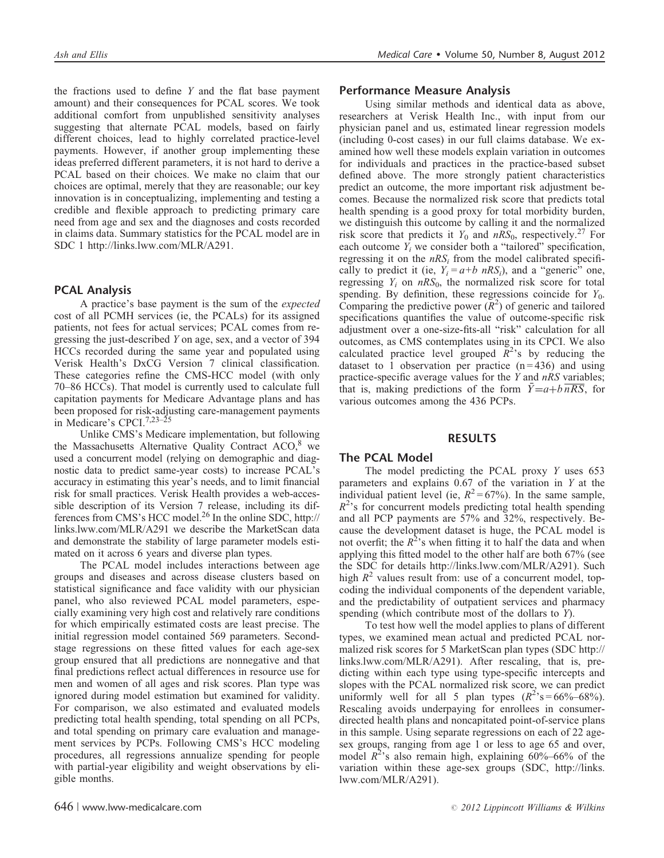the fractions used to define *Y* and the flat base payment amount) and their consequences for PCAL scores. We took additional comfort from unpublished sensitivity analyses suggesting that alternate PCAL models, based on fairly different choices, lead to highly correlated practice-level payments. However, if another group implementing these ideas preferred different parameters, it is not hard to derive a PCAL based on their choices. We make no claim that our choices are optimal, merely that they are reasonable; our key innovation is in conceptualizing, implementing and testing a credible and flexible approach to predicting primary care need from age and sex and the diagnoses and costs recorded in claims data. Summary statistics for the PCAL model are in SDC 1 http://links.lww.com/MLR/A291.

## PCAL Analysis

A practice's base payment is the sum of the *expected* cost of all PCMH services (ie, the PCALs) for its assigned patients, not fees for actual services; PCAL comes from regressing the just-described *Y* on age, sex, and a vector of 394 HCCs recorded during the same year and populated using Verisk Health's DxCG Version 7 clinical classification. These categories refine the CMS-HCC model (with only 70–86 HCCs). That model is currently used to calculate full capitation payments for Medicare Advantage plans and has been proposed for risk-adjusting care-management payments in Medicare's CPCI.7,23–25

Unlike CMS's Medicare implementation, but following the Massachusetts Alternative Quality Contract ACO,<sup>8</sup> we used a concurrent model (relying on demographic and diagnostic data to predict same-year costs) to increase PCAL's accuracy in estimating this year's needs, and to limit financial risk for small practices. Verisk Health provides a web-accessible description of its Version 7 release, including its differences from CMS's HCC model.26 In the online SDC, http:// links.lww.com/MLR/A291 we describe the MarketScan data and demonstrate the stability of large parameter models estimated on it across 6 years and diverse plan types.

The PCAL model includes interactions between age groups and diseases and across disease clusters based on statistical significance and face validity with our physician panel, who also reviewed PCAL model parameters, especially examining very high cost and relatively rare conditions for which empirically estimated costs are least precise. The initial regression model contained 569 parameters. Secondstage regressions on these fitted values for each age-sex group ensured that all predictions are nonnegative and that final predictions reflect actual differences in resource use for men and women of all ages and risk scores. Plan type was ignored during model estimation but examined for validity. For comparison, we also estimated and evaluated models predicting total health spending, total spending on all PCPs, and total spending on primary care evaluation and management services by PCPs. Following CMS's HCC modeling procedures, all regressions annualize spending for people with partial-year eligibility and weight observations by eligible months.

#### Performance Measure Analysis

Using similar methods and identical data as above, researchers at Verisk Health Inc., with input from our physician panel and us, estimated linear regression models (including 0-cost cases) in our full claims database. We examined how well these models explain variation in outcomes for individuals and practices in the practice-based subset defined above. The more strongly patient characteristics predict an outcome, the more important risk adjustment becomes. Because the normalized risk score that predicts total health spending is a good proxy for total morbidity burden, we distinguish this outcome by calling it and the normalized risk score that predicts it  $Y_0$  and  $nRS_0$ , respectively.<sup>27</sup> For each outcome  $\overline{Y}_i$  we consider both a "tailored" specification, regressing it on the  $nRS<sub>i</sub>$  from the model calibrated specifically to predict it (ie,  $Y_i = a+b$  nRS<sub>i</sub>), and a "generic" one, regressing  $Y_i$  on  $nRS_0$ , the normalized risk score for total spending. By definition, these regressions coincide for *Y*<sub>0</sub>. Comparing the predictive power  $(R^2)$  of generic and tailored specifications quantifies the value of outcome-specific risk adjustment over a one-size-fits-all "risk" calculation for all outcomes, as CMS contemplates using in its CPCI. We also calculated practice level grouped  $\overline{R}^2$ 's by reducing the dataset to 1 observation per practice  $(n=436)$  and using practice-specific average values for the *Y* and *nRS* variables; that is, making predictions of the form  $\bar{Y} = a + b \overline{nRS}$ , for various outcomes among the 436 PCPs.

#### RESULTS

#### The PCAL Model

The model predicting the PCAL proxy *Y* uses 653 parameters and explains 0.67 of the variation in *Y* at the individual patient level (ie,  $R^2 = 67\%$ ). In the same sample,  $R<sup>2</sup>$ 's for concurrent models predicting total health spending and all PCP payments are 57% and 32%, respectively. Because the development dataset is huge, the PCAL model is not overfit; the  $R^2$ 's when fitting it to half the data and when applying this fitted model to the other half are both 67% (see the SDC for details http://links.lww.com/MLR/A291). Such high  $R^2$  values result from: use of a concurrent model, topcoding the individual components of the dependent variable, and the predictability of outpatient services and pharmacy spending (which contribute most of the dollars to *Y*).

To test how well the model applies to plans of different types, we examined mean actual and predicted PCAL normalized risk scores for 5 MarketScan plan types (SDC http:// links.lww.com/MLR/A291). After rescaling, that is, predicting within each type using type-specific intercepts and slopes with the PCAL normalized risk score, we can predict uniformly well for all 5 plan types  $(R^{2}$ 's = 66%–68%). Rescaling avoids underpaying for enrollees in consumerdirected health plans and noncapitated point-of-service plans in this sample. Using separate regressions on each of 22 agesex groups, ranging from age 1 or less to age 65 and over, model  $R^2$ 's also remain high, explaining 60%–66% of the variation within these age-sex groups (SDC, http://links. lww.com/MLR/A291).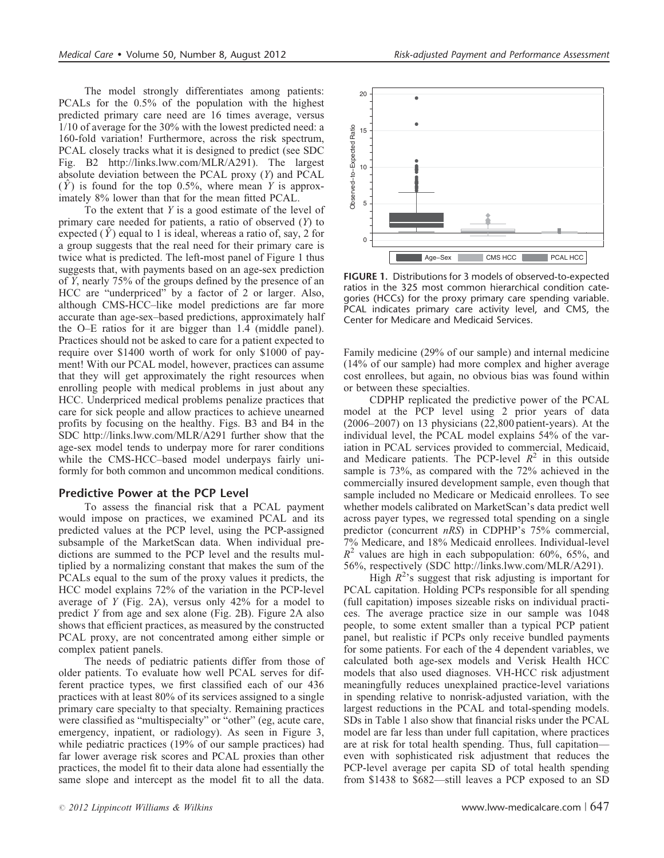The model strongly differentiates among patients: PCALs for the 0.5% of the population with the highest predicted primary care need are 16 times average, versus 1/10 of average for the 30% with the lowest predicted need: a 160-fold variation! Furthermore, across the risk spectrum, PCAL closely tracks what it is designed to predict (see SDC Fig. B2 http://links.lww.com/MLR/A291). The largest absolute deviation between the PCAL proxy (*Y*) and PCAL  $(\hat{Y})$  is found for the top 0.5%, where mean *Y* is approximately 8% lower than that for the mean fitted PCAL.

To the extent that *Y* is a good estimate of the level of primary care needed for patients, a ratio of observed (*Y*) to expected  $(\hat{Y})$  equal to 1 is ideal, whereas a ratio of, say, 2 for a group suggests that the real need for their primary care is twice what is predicted. The left-most panel of Figure 1 thus suggests that, with payments based on an age-sex prediction of *Y*, nearly 75% of the groups defined by the presence of an HCC are "underpriced" by a factor of 2 or larger. Also, although CMS-HCC–like model predictions are far more accurate than age-sex–based predictions, approximately half the O–E ratios for it are bigger than 1.4 (middle panel). Practices should not be asked to care for a patient expected to require over \$1400 worth of work for only \$1000 of payment! With our PCAL model, however, practices can assume that they will get approximately the right resources when enrolling people with medical problems in just about any HCC. Underpriced medical problems penalize practices that care for sick people and allow practices to achieve unearned profits by focusing on the healthy. Figs. B3 and B4 in the SDC http://links.lww.com/MLR/A291 further show that the age-sex model tends to underpay more for rarer conditions while the CMS-HCC–based model underpays fairly uniformly for both common and uncommon medical conditions.

#### Predictive Power at the PCP Level

To assess the financial risk that a PCAL payment would impose on practices, we examined PCAL and its predicted values at the PCP level, using the PCP-assigned subsample of the MarketScan data. When individual predictions are summed to the PCP level and the results multiplied by a normalizing constant that makes the sum of the PCALs equal to the sum of the proxy values it predicts, the HCC model explains 72% of the variation in the PCP-level average of *Y* (Fig. 2A), versus only 42% for a model to predict *Y* from age and sex alone (Fig. 2B). Figure 2A also shows that efficient practices, as measured by the constructed PCAL proxy, are not concentrated among either simple or complex patient panels.

The needs of pediatric patients differ from those of older patients. To evaluate how well PCAL serves for different practice types, we first classified each of our 436 practices with at least 80% of its services assigned to a single primary care specialty to that specialty. Remaining practices were classified as "multispecialty" or "other" (eg, acute care, emergency, inpatient, or radiology). As seen in Figure 3, while pediatric practices (19% of our sample practices) had far lower average risk scores and PCAL proxies than other practices, the model fit to their data alone had essentially the same slope and intercept as the model fit to all the data.



FIGURE 1. Distributions for 3 models of observed-to-expected ratios in the 325 most common hierarchical condition categories (HCCs) for the proxy primary care spending variable. PCAL indicates primary care activity level, and CMS, the Center for Medicare and Medicaid Services.

Family medicine (29% of our sample) and internal medicine (14% of our sample) had more complex and higher average cost enrollees, but again, no obvious bias was found within or between these specialties.

CDPHP replicated the predictive power of the PCAL model at the PCP level using 2 prior years of data (2006–2007) on 13 physicians (22,800 patient-years). At the individual level, the PCAL model explains 54% of the variation in PCAL services provided to commercial, Medicaid, and Medicare patients. The PCP-level  $R^2$  in this outside sample is 73%, as compared with the 72% achieved in the commercially insured development sample, even though that sample included no Medicare or Medicaid enrollees. To see whether models calibrated on MarketScan's data predict well across payer types, we regressed total spending on a single predictor (concurrent *nRS*) in CDPHP's 75% commercial, 7% Medicare, and 18% Medicaid enrollees. Individual-level  $R<sup>2</sup>$  values are high in each subpopulation: 60%, 65%, and 56%, respectively (SDC http://links.lww.com/MLR/A291).

High  $R^2$ 's suggest that risk adjusting is important for PCAL capitation. Holding PCPs responsible for all spending (full capitation) imposes sizeable risks on individual practices. The average practice size in our sample was 1048 people, to some extent smaller than a typical PCP patient panel, but realistic if PCPs only receive bundled payments for some patients. For each of the 4 dependent variables, we calculated both age-sex models and Verisk Health HCC models that also used diagnoses. VH-HCC risk adjustment meaningfully reduces unexplained practice-level variations in spending relative to nonrisk-adjusted variation, with the largest reductions in the PCAL and total-spending models. SDs in Table 1 also show that financial risks under the PCAL model are far less than under full capitation, where practices are at risk for total health spending. Thus, full capitation even with sophisticated risk adjustment that reduces the PCP-level average per capita SD of total health spending from \$1438 to \$682—still leaves a PCP exposed to an SD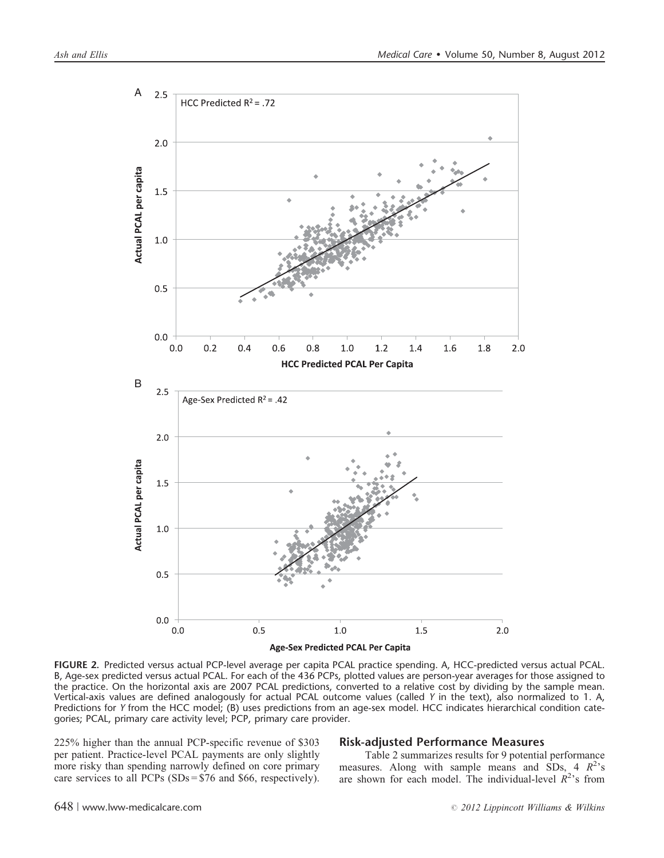

FIGURE 2. Predicted versus actual PCP-level average per capita PCAL practice spending. A, HCC-predicted versus actual PCAL. B, Age-sex predicted versus actual PCAL. For each of the 436 PCPs, plotted values are person-year averages for those assigned to the practice. On the horizontal axis are 2007 PCAL predictions, converted to a relative cost by dividing by the sample mean. Vertical-axis values are defined analogously for actual PCAL outcome values (called Y in the text), also normalized to 1. A, Predictions for Y from the HCC model; (B) uses predictions from an age-sex model. HCC indicates hierarchical condition categories; PCAL, primary care activity level; PCP, primary care provider.

225% higher than the annual PCP-specific revenue of \$303 per patient. Practice-level PCAL payments are only slightly more risky than spending narrowly defined on core primary care services to all PCPs (SDs = \$76 and \$66, respectively).

# Risk-adjusted Performance Measures

Table 2 summarizes results for 9 potential performance measures. Along with sample means and  $SDs$ , 4  $R^2$ 's are shown for each model. The individual-level  $\vec{R}^2$ 's from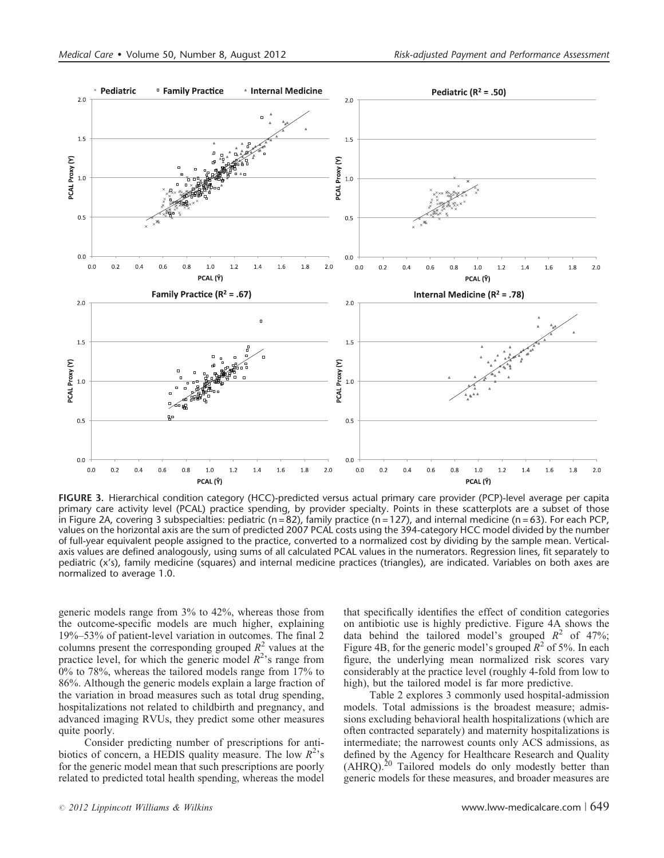

FIGURE 3. Hierarchical condition category (HCC)-predicted versus actual primary care provider (PCP)-level average per capita primary care activity level (PCAL) practice spending, by provider specialty. Points in these scatterplots are a subset of those in Figure 2A, covering 3 subspecialties: pediatric (n = 82), family practice (n = 127), and internal medicine (n = 63). For each PCP, values on the horizontal axis are the sum of predicted 2007 PCAL costs using the 394-category HCC model divided by the number of full-year equivalent people assigned to the practice, converted to a normalized cost by dividing by the sample mean. Verticalaxis values are defined analogously, using sums of all calculated PCAL values in the numerators. Regression lines, fit separately to pediatric (x's), family medicine (squares) and internal medicine practices (triangles), are indicated. Variables on both axes are normalized to average 1.0.

generic models range from 3% to 42%, whereas those from the outcome-specific models are much higher, explaining 19%–53% of patient-level variation in outcomes. The final 2 columns present the corresponding grouped  $R^2$  values at the practice level, for which the generic model  $R^2$ 's range from 0% to 78%, whereas the tailored models range from 17% to 86%. Although the generic models explain a large fraction of the variation in broad measures such as total drug spending, hospitalizations not related to childbirth and pregnancy, and advanced imaging RVUs, they predict some other measures quite poorly.

Consider predicting number of prescriptions for antibiotics of concern, a HEDIS quality measure. The low  $R^2$ 's for the generic model mean that such prescriptions are poorly related to predicted total health spending, whereas the model that specifically identifies the effect of condition categories on antibiotic use is highly predictive. Figure 4A shows the data behind the tailored model's grouped  $R^2$  of 47%; Figure 4B, for the generic model's grouped  $R^2$  of 5%. In each figure, the underlying mean normalized risk scores vary considerably at the practice level (roughly 4-fold from low to high), but the tailored model is far more predictive.

Table 2 explores 3 commonly used hospital-admission models. Total admissions is the broadest measure; admissions excluding behavioral health hospitalizations (which are often contracted separately) and maternity hospitalizations is intermediate; the narrowest counts only ACS admissions, as defined by the Agency for Healthcare Research and Quality  $(AHRQ).<sup>20</sup>$  Tailored models do only modestly better than generic models for these measures, and broader measures are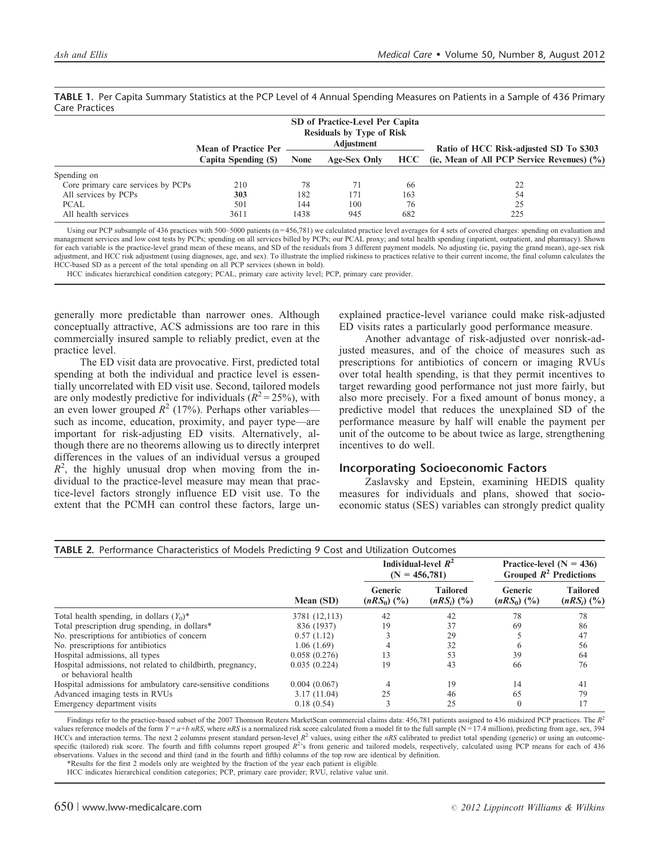| Care riactices                     |                             |                                                                                          |                     |            |                                                |  |  |  |  |  |
|------------------------------------|-----------------------------|------------------------------------------------------------------------------------------|---------------------|------------|------------------------------------------------|--|--|--|--|--|
|                                    | <b>Mean of Practice Per</b> | SD of Practice-Level Per Capita<br><b>Residuals by Type of Risk</b><br><b>Adjustment</b> |                     |            | Ratio of HCC Risk-adjusted SD To \$303         |  |  |  |  |  |
|                                    | Capita Spending (\$)        | <b>None</b>                                                                              | <b>Age-Sex Only</b> | <b>HCC</b> | (ie, Mean of All PCP Service Revenues) $(\% )$ |  |  |  |  |  |
| Spending on                        |                             |                                                                                          |                     |            |                                                |  |  |  |  |  |
| Core primary care services by PCPs | 210                         | 78                                                                                       |                     | 66         |                                                |  |  |  |  |  |
| All services by PCPs               | 303                         | 182                                                                                      | 171                 | 163        | 54                                             |  |  |  |  |  |
| <b>PCAL</b>                        | 501                         | 144                                                                                      | 100                 | 76         | 25                                             |  |  |  |  |  |
| All health services                | 3611                        | 1438                                                                                     | 945                 | 682        | 225                                            |  |  |  |  |  |

TABLE 1. Per Capita Summary Statistics at the PCP Level of 4 Annual Spending Measures on Patients in a Sample of 436 Primary Care Practices

Using our PCP subsample of 436 practices with 500-5000 patients (n=456,781) we calculated practice level averages for 4 sets of covered charges: spending on evaluation and management services and low cost tests by PCPs; spending on all services billed by PCPs; our PCAL proxy; and total health spending (inpatient, outpatient, and pharmacy). Shown for each variable is the practice-level grand mean of these means, and SD of the residuals from 3 different payment models. No adjusting (ie, paying the grand mean), age-sex risk adjustment, and HCC risk adjustment (using diagnoses, age, and sex). To illustrate the implied riskiness to practices relative to their current income, the final column calculates the HCC-based SD as a percent of the total spending on all PCP services (shown in bold).

HCC indicates hierarchical condition category; PCAL, primary care activity level; PCP, primary care provider.

generally more predictable than narrower ones. Although conceptually attractive, ACS admissions are too rare in this commercially insured sample to reliably predict, even at the practice level.

The ED visit data are provocative. First, predicted total spending at both the individual and practice level is essentially uncorrelated with ED visit use. Second, tailored models are only modestly predictive for individuals  $(R^2 = 25\%)$ , with an even lower grouped  $R^2$  (17%). Perhaps other variables such as income, education, proximity, and payer type—are important for risk-adjusting ED visits. Alternatively, although there are no theorems allowing us to directly interpret differences in the values of an individual versus a grouped  $R<sup>2</sup>$ , the highly unusual drop when moving from the individual to the practice-level measure may mean that practice-level factors strongly influence ED visit use. To the extent that the PCMH can control these factors, large unexplained practice-level variance could make risk-adjusted ED visits rates a particularly good performance measure.

Another advantage of risk-adjusted over nonrisk-adjusted measures, and of the choice of measures such as prescriptions for antibiotics of concern or imaging RVUs over total health spending, is that they permit incentives to target rewarding good performance not just more fairly, but also more precisely. For a fixed amount of bonus money, a predictive model that reduces the unexplained SD of the performance measure by half will enable the payment per unit of the outcome to be about twice as large, strengthening incentives to do well.

#### Incorporating Socioeconomic Factors

Zaslavsky and Epstein, examining HEDIS quality measures for individuals and plans, showed that socioeconomic status (SES) variables can strongly predict quality

| <b>TABLE 2.</b> Performance Characteristics of Models Predicting 9 Cost and Utilization Outcomes |               |                                            |                                             |                                                           |                                     |  |  |  |  |
|--------------------------------------------------------------------------------------------------|---------------|--------------------------------------------|---------------------------------------------|-----------------------------------------------------------|-------------------------------------|--|--|--|--|
|                                                                                                  |               |                                            | Individual-level $R^2$<br>$(N = 456,781)$   | Practice-level ( $N = 436$ )<br>Grouped $R^2$ Predictions |                                     |  |  |  |  |
|                                                                                                  | Mean (SD)     | <b>Generic</b><br>$(nRS_0)$ $\binom{0}{0}$ | <b>Tailored</b><br>$(nRS_i)$ $\binom{0}{0}$ | <b>Generic</b><br>$(nRS_0)$ $(\frac{9}{6})$               | <b>Tailored</b><br>$(nRS_i)$ $(\%)$ |  |  |  |  |
| Total health spending, in dollars $(Y_0)^*$                                                      | 3781 (12,113) | 42                                         | 42                                          | 78                                                        | 78                                  |  |  |  |  |
| Total prescription drug spending, in dollars*                                                    | 836 (1937)    | 19                                         | 37                                          | 69                                                        | 86                                  |  |  |  |  |
| No. prescriptions for antibiotics of concern                                                     | 0.57(1.12)    |                                            | 29                                          |                                                           | 47                                  |  |  |  |  |
| No. prescriptions for antibiotics                                                                | 1.06(1.69)    |                                            | 32                                          |                                                           | 56                                  |  |  |  |  |
| Hospital admissions, all types                                                                   | 0.058(0.276)  | 13                                         | 53                                          | 39                                                        | 64                                  |  |  |  |  |
| Hospital admissions, not related to childbirth, pregnancy,<br>or behavioral health               | 0.035(0.224)  | 19                                         | 43                                          | 66                                                        | 76                                  |  |  |  |  |
| Hospital admissions for ambulatory care-sensitive conditions                                     | 0.004(0.067)  |                                            | 19                                          | 14                                                        | 41                                  |  |  |  |  |
| Advanced imaging tests in RVUs                                                                   | 3.17(11.04)   | 25                                         | 46                                          | 65                                                        | 79                                  |  |  |  |  |
| Emergency department visits                                                                      | 0.18(0.54)    |                                            | 25                                          |                                                           | 17                                  |  |  |  |  |

Findings refer to the practice-based subset of the 2007 Thomson Reuters MarketScan commercial claims data: 456,781 patients assigned to 436 midsized PCP practices. The *R*<sup>2</sup> values reference models of the form  $Y = a + b$  nRS, where nRS is a normalized risk score calculated from a model fit to the full sample (N = 17.4 million), predicting from age, sex, 394 HCCs and interaction terms. The next 2 columns present standard person-level  $R^2$  values, using either the *nRS* calibrated to predict total spending (generic) or using an outcomespecific (tailored) risk score. The fourth and fifth columns report grouped  $R<sup>2</sup>$ 's from generic and tailored models, respectively, calculated using PCP means for each of 436 observations. Values in the second and third (and in the fourth and fifth) columns of the top row are identical by definition.

\*Results for the first 2 models only are weighted by the fraction of the year each patient is eligible.

HCC indicates hierarchical condition categories; PCP, primary care provider; RVU, relative value unit.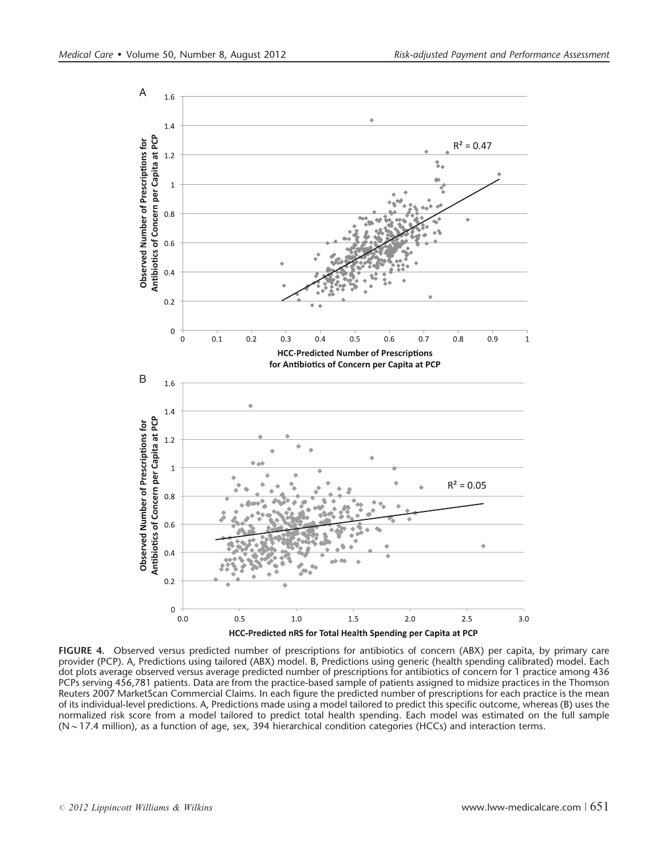

FIGURE 4. Observed versus predicted number of prescriptions for antibiotics of concern (ABX) per capita, by primary care provider (PCP). A, Predictions using tailored (ABX) model. B, Predictions using generic (health spending calibrated) model. Each dot plots average observed versus average predicted number of prescriptions for antibiotics of concern for 1 practice among 436 PCPs serving 456,781 patients. Data are from the practice-based sample of patients assigned to midsize practices in the Thomson Reuters 2007 MarketScan Commercial Claims. In each figure the predicted number of prescriptions for each practice is the mean of its individual-level predictions. A, Predictions made using a model tailored to predict this specific outcome, whereas (B) uses the normalized risk score from a model tailored to predict total health spending. Each model was estimated on the full sample  $(N \sim 17.4$  million), as a function of age, sex, 394 hierarchical condition categories (HCCs) and interaction terms.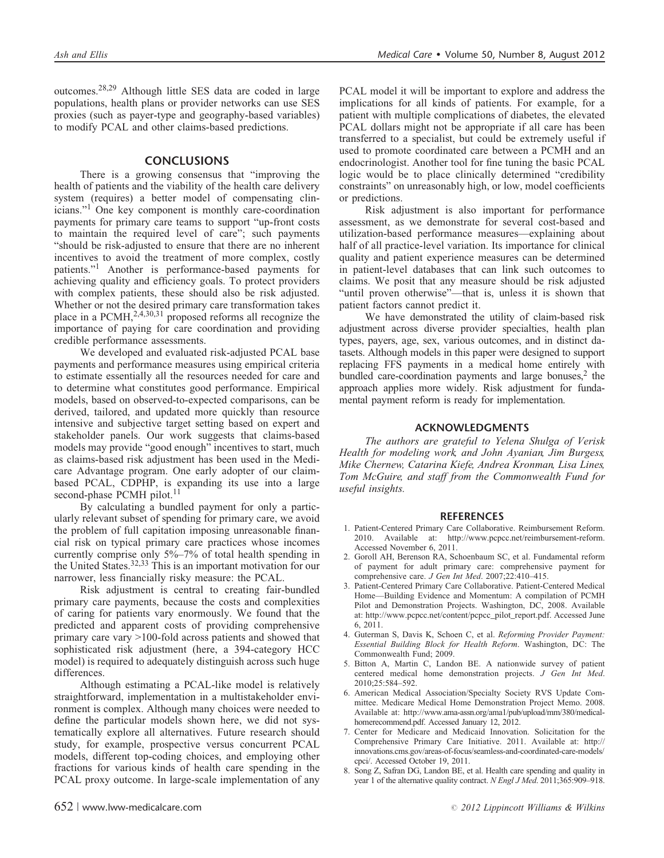outcomes.28,29 Although little SES data are coded in large populations, health plans or provider networks can use SES proxies (such as payer-type and geography-based variables) to modify PCAL and other claims-based predictions.

#### CONCLUSIONS

There is a growing consensus that "improving the health of patients and the viability of the health care delivery system (requires) a better model of compensating clinicians."<sup>1</sup> One key component is monthly care-coordination payments for primary care teams to support "up-front costs to maintain the required level of care"; such payments "should be risk-adjusted to ensure that there are no inherent incentives to avoid the treatment of more complex, costly patients."1 Another is performance-based payments for achieving quality and efficiency goals. To protect providers with complex patients, these should also be risk adjusted. Whether or not the desired primary care transformation takes place in a PCMH, $^{2,4,30,31}$  proposed reforms all recognize the importance of paying for care coordination and providing credible performance assessments.

We developed and evaluated risk-adjusted PCAL base payments and performance measures using empirical criteria to estimate essentially all the resources needed for care and to determine what constitutes good performance. Empirical models, based on observed-to-expected comparisons, can be derived, tailored, and updated more quickly than resource intensive and subjective target setting based on expert and stakeholder panels. Our work suggests that claims-based models may provide "good enough" incentives to start, much as claims-based risk adjustment has been used in the Medicare Advantage program. One early adopter of our claimbased PCAL, CDPHP, is expanding its use into a large second-phase PCMH pilot.<sup>11</sup>

By calculating a bundled payment for only a particularly relevant subset of spending for primary care, we avoid the problem of full capitation imposing unreasonable financial risk on typical primary care practices whose incomes currently comprise only 5%–7% of total health spending in the United States.<sup>32,33</sup> This is an important motivation for our narrower, less financially risky measure: the PCAL.

Risk adjustment is central to creating fair-bundled primary care payments, because the costs and complexities of caring for patients vary enormously. We found that the predicted and apparent costs of providing comprehensive primary care vary >100-fold across patients and showed that sophisticated risk adjustment (here, a 394-category HCC model) is required to adequately distinguish across such huge differences.

Although estimating a PCAL-like model is relatively straightforward, implementation in a multistakeholder environment is complex. Although many choices were needed to define the particular models shown here, we did not systematically explore all alternatives. Future research should study, for example, prospective versus concurrent PCAL models, different top-coding choices, and employing other fractions for various kinds of health care spending in the PCAL proxy outcome. In large-scale implementation of any PCAL model it will be important to explore and address the implications for all kinds of patients. For example, for a patient with multiple complications of diabetes, the elevated PCAL dollars might not be appropriate if all care has been transferred to a specialist, but could be extremely useful if used to promote coordinated care between a PCMH and an endocrinologist. Another tool for fine tuning the basic PCAL logic would be to place clinically determined "credibility constraints" on unreasonably high, or low, model coefficients or predictions.

Risk adjustment is also important for performance assessment, as we demonstrate for several cost-based and utilization-based performance measures—explaining about half of all practice-level variation. Its importance for clinical quality and patient experience measures can be determined in patient-level databases that can link such outcomes to claims. We posit that any measure should be risk adjusted "until proven otherwise"—that is, unless it is shown that patient factors cannot predict it.

We have demonstrated the utility of claim-based risk adjustment across diverse provider specialties, health plan types, payers, age, sex, various outcomes, and in distinct datasets. Although models in this paper were designed to support replacing FFS payments in a medical home entirely with bundled care-coordination payments and large bonuses, $<sup>2</sup>$  the</sup> approach applies more widely. Risk adjustment for fundamental payment reform is ready for implementation.

#### ACKNOWLEDGMENTS

*The authors are grateful to Yelena Shulga of Verisk Health for modeling work, and John Ayanian, Jim Burgess, Mike Chernew, Catarina Kiefe, Andrea Kronman, Lisa Lines, Tom McGuire, and staff from the Commonwealth Fund for useful insights.*

#### **REFERENCES**

- 1. Patient-Centered Primary Care Collaborative. Reimbursement Reform. 2010. Available at: http://www.pcpcc.net/reimbursement-reform. Accessed November 6, 2011.
- 2. Goroll AH, Berenson RA, Schoenbaum SC, et al. Fundamental reform of payment for adult primary care: comprehensive payment for comprehensive care. *J Gen Int Med*. 2007;22:410–415.
- 3. Patient-Centered Primary Care Collaborative. Patient-Centered Medical Home—Building Evidence and Momentum: A compilation of PCMH Pilot and Demonstration Projects. Washington, DC, 2008. Available at: http://www.pcpcc.net/content/pcpcc\_pilot\_report.pdf. Accessed June 6, 2011.
- 4. Guterman S, Davis K, Schoen C, et al. *Reforming Provider Payment: Essential Building Block for Health Reform*. Washington, DC: The Commonwealth Fund; 2009.
- 5. Bitton A, Martin C, Landon BE. A nationwide survey of patient centered medical home demonstration projects. *J Gen Int Med*. 2010;25:584–592.
- 6. American Medical Association/Specialty Society RVS Update Committee. Medicare Medical Home Demonstration Project Memo. 2008. Available at: http://www.ama-assn.org/ama1/pub/upload/mm/380/medicalhomerecommend.pdf. Accessed January 12, 2012.
- 7. Center for Medicare and Medicaid Innovation. Solicitation for the Comprehensive Primary Care Initiative. 2011. Available at: http:// innovations.cms.gov/areas-of-focus/seamless-and-coordinated-care-models/ cpci/. Accessed October 19, 2011.
- 8. Song Z, Safran DG, Landon BE, et al. Health care spending and quality in year 1 of the alternative quality contract. *N Engl J Med*. 2011;365:909–918.